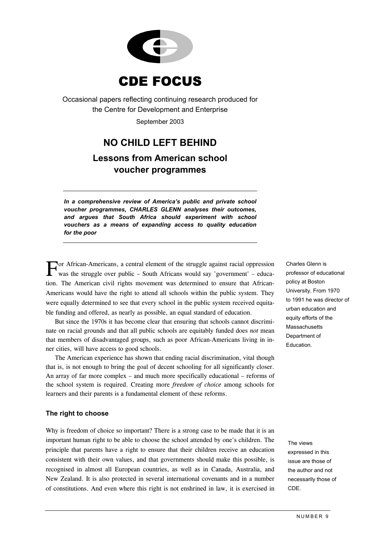

Occasional papers reflecting continuing research produced for the Centre for Development and Enterprise September 2003

# **NO CHILD LEFT BEHIND**

# **Lessons from American school voucher programmes**

*In a comprehensive review of America's public and private school voucher programmes, CHARLES GLENN analyses their outcomes, and argues that South Africa should experiment with school vouchers as a means of expanding access to quality education for the poor*

For African-Americans, a central element of the struggle against racial oppression Charles Glenn is<br>
was the struggle over public – South Africans would say 'government' – educawas the struggle over public – South Africans would say 'government' – education. The American civil rights movement was determined to ensure that African-Americans would have the right to attend all schools within the public system. They were equally determined to see that every school in the public system received equitable funding and offered, as nearly as possible, an equal standard of education.

But since the 1970s it has become clear that ensuring that schools cannot discriminate on racial grounds and that all public schools are equitably funded does *not* mean that members of disadvantaged groups, such as poor African-Americans living in inner cities, will have access to good schools.

The American experience has shown that ending racial discrimination, vital though that is, is not enough to bring the goal of decent schooling for all significantly closer. An array of far more complex – and much more specifically educational – reforms of the school system is required. Creating more *freedom of choice* among schools for learners and their parents is a fundamental element of these reforms.

## **The right to choose**

Why is freedom of choice so important? There is a strong case to be made that it is an important human right to be able to choose the school attended by one's children. The principle that parents have a right to ensure that their children receive an education consistent with their own values, and that governments should make this possible, is recognised in almost all European countries, as well as in Canada, Australia, and New Zealand. It is also protected in several international covenants and in a number of constitutions. And even where this right is not enshrined in law, it is exercised in professor of educational policy at Boston University. From 1970 to 1991 he was director of urban education and equity efforts of the Massachusetts Department of Education.

The views expressed in this issue are those of the author and not necessarily those of CDE.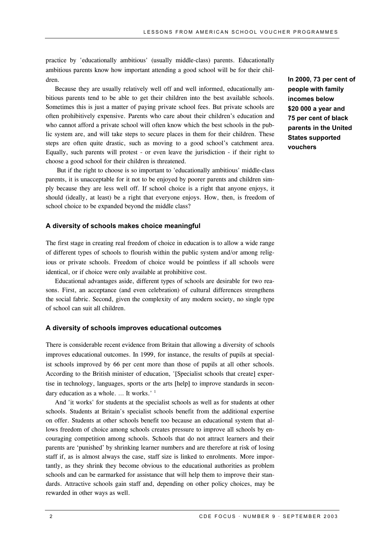practice by 'educationally ambitious' (usually middle-class) parents. Educationally ambitious parents know how important attending a good school will be for their children.

Because they are usually relatively well off and well informed, educationally ambitious parents tend to be able to get their children into the best available schools. Sometimes this is just a matter of paying private school fees. But private schools are often prohibitively expensive. Parents who care about their children's education and who cannot afford a private school will often know which the best schools in the public system are, and will take steps to secure places in them for their children. These steps are often quite drastic, such as moving to a good school's catchment area. Equally, such parents will protest - or even leave the jurisdiction - if their right to choose a good school for their children is threatened.

 But if the right to choose is so important to 'educationally ambitious' middle-class parents, it is unacceptable for it not to be enjoyed by poorer parents and children simply because they are less well off. If school choice is a right that anyone enjoys, it should (ideally, at least) be a right that everyone enjoys. How, then, is freedom of school choice to be expanded beyond the middle class?

#### **A diversity of schools makes choice meaningful**

The first stage in creating real freedom of choice in education is to allow a wide range of different types of schools to flourish within the public system and/or among religious or private schools. Freedom of choice would be pointless if all schools were identical, or if choice were only available at prohibitive cost.

Educational advantages aside, different types of schools are desirable for two reasons. First, an acceptance (and even celebration) of cultural differences strengthens the social fabric. Second, given the complexity of any modern society, no single type of school can suit all children.

#### **A diversity of schools improves educational outcomes**

There is considerable recent evidence from Britain that allowing a diversity of schools improves educational outcomes. In 1999, for instance, the results of pupils at specialist schools improved by 66 per cent more than those of pupils at all other schools. According to the British minister of education, '[Specialist schools that create] expertise in technology, languages, sports or the arts [help] to improve standards in secondary education as a whole. ... It works.'  $<sup>1</sup>$  $<sup>1</sup>$  $<sup>1</sup>$ </sup>

And 'it works' for students at the specialist schools as well as for students at other schools. Students at Britain's specialist schools benefit from the additional expertise on offer. Students at other schools benefit too because an educational system that allows freedom of choice among schools creates pressure to improve all schools by encouraging competition among schools. Schools that do not attract learners and their parents are 'punished' by shrinking learner numbers and are therefore at risk of losing staff if, as is almost always the case, staff size is linked to enrolments. More importantly, as they shrink they become obvious to the educational authorities as problem schools and can be earmarked for assistance that will help them to improve their standards. Attractive schools gain staff and, depending on other policy choices, may be rewarded in other ways as well.

**In 2000, 73 per cent of people with family incomes below \$20 000 a year and 75 per cent of black parents in the United States supported vouchers**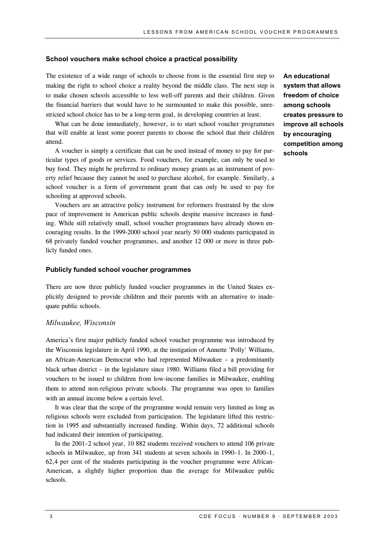#### **School vouchers make school choice a practical possibility**

The existence of a wide range of schools to choose from is the essential first step to making the right to school choice a reality beyond the middle class. The next step is to make chosen schools accessible to less well-off parents and their children. Given the financial barriers that would have to be surmounted to make this possible, unrestricted school choice has to be a long-term goal, in developing countries at least.

What can be done immediately, however, is to start school voucher programmes that will enable at least some poorer parents to choose the school that their children attend.

A voucher is simply a certificate that can be used instead of money to pay for particular types of goods or services. Food vouchers, for example, can only be used to buy food. They might be preferred to ordinary money grants as an instrument of poverty relief because they cannot be used to purchase alcohol, for example. Similarly, a school voucher is a form of government grant that can only be used to pay for schooling at approved schools.

Vouchers are an attractive policy instrument for reformers frustrated by the slow pace of improvement in American public schools despite massive increases in funding. While still relatively small, school voucher programmes have already shown encouraging results. In the 1999-2000 school year nearly 50 000 students participated in 68 privately funded voucher programmes, and another 12 000 or more in three publicly funded ones.

#### **Publicly funded school voucher programmes**

There are now three publicly funded voucher programmes in the United States explicitly designed to provide children and their parents with an alternative to inadequate public schools.

### *Milwaukee, Wisconsin*

America's first major publicly funded school voucher programme was introduced by the Wisconsin legislature in April 1990, at the instigation of Annette 'Polly' Williams, an African-American Democrat who had represented Milwaukee – a predominantly black urban district – in the legislature since 1980. Williams filed a bill providing for vouchers to be issued to children from low-income families in Milwaukee, enabling them to attend non-religious private schools. The programme was open to families with an annual income below a certain level.

It was clear that the scope of the programme would remain very limited as long as religious schools were excluded from participation. The legislature lifted this restriction in 1995 and substantially increased funding. Within days, 72 additional schools had indicated their intention of participating.

In the 2001–2 school year, 10 882 students received vouchers to attend 106 private schools in Milwaukee, up from 341 students at seven schools in 1990–1. In 2000–1, 62,4 per cent of the students participating in the voucher programme were African-American, a slightly higher proportion than the average for Milwaukee public schools.

**An educational system that allows freedom of choice among schools creates pressure to improve all schools by encouraging competition among schools**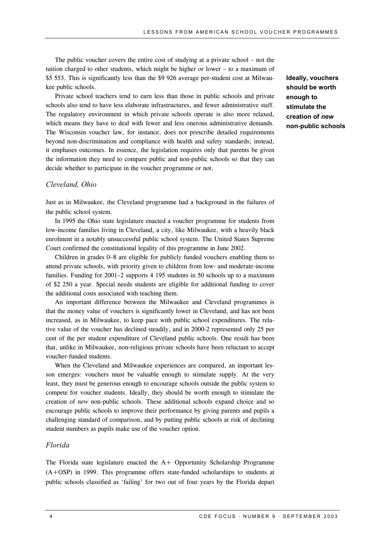The public voucher covers the entire cost of studying at a private school – not the tuition charged to other students, which might be higher or lower – to a maximum of \$5 553. This is significantly less than the \$9 926 average per-student cost at Milwaukee public schools.

Private school teachers tend to earn less than those in public schools and private schools also tend to have less elaborate infrastructures, and fewer administrative staff. The regulatory environment in which private schools operate is also more relaxed, which means they have to deal with fewer and less onerous administrative demands. The Wisconsin voucher law, for instance, does not prescribe detailed requirements beyond non-discrimination and compliance with health and safety standards; instead, it emphases outcomes. In essence, the legislation requires only that parents be given the information they need to compare public and non-public schools so that they can decide whether to participate in the voucher programme or not.

#### *Cleveland, Ohio*

Just as in Milwaukee, the Cleveland programme had a background in the failures of the public school system.

In 1995 the Ohio state legislature enacted a voucher programme for students from low-income families living in Cleveland, a city, like Milwaukee, with a heavily black enrolment in a notably unsuccessful public school system. The United States Supreme Court confirmed the constitutional legality of this programme in June 2002.

Children in grades 0–8 are eligible for publicly funded vouchers enabling them to attend private schools, with priority given to children from low- and moderate-income families. Funding for 2001–2 supports 4 195 students in 50 schools up to a maximum of \$2 250 a year. Special needs students are eligible for additional funding to cover the additional costs associated with teaching them.

An important difference between the Milwaukee and Cleveland programmes is that the money value of vouchers is significantly lower in Cleveland, and has not been increased, as in Milwaukee, to keep pace with public school expenditures. The relative value of the voucher has declined steadily, and in 2000-2 represented only 25 per cent of the per student expenditure of Cleveland public schools. One result has been that, unlike in Milwaukee, non-religious private schools have been reluctant to accept voucher-funded students.

When the Cleveland and Milwaukee experiences are compared, an important lesson emerges: vouchers must be valuable enough to stimulate supply. At the very least, they must be generous enough to encourage schools outside the public system to compete for voucher students. Ideally, they should be worth enough to stimulate the creation of *new* non-public schools. These additional schools expand choice and so encourage public schools to improve their performance by giving parents and pupils a challenging standard of comparison, and by putting public schools at risk of declining student numbers as pupils make use of the voucher option.

#### *Florida*

The Florida state legislature enacted the A+ Opportunity Scholarship Programme (A+OSP) in 1999. This programme offers state-funded scholarships to students at public schools classified as 'failing' for two out of four years by the Florida depart **Ideally, vouchers should be worth enough to stimulate the creation of** *new* **non-public schools**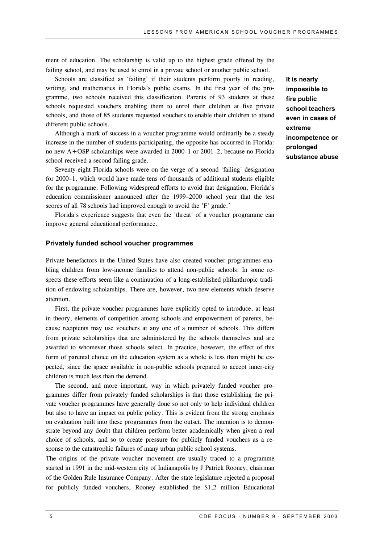ment of education. The scholarship is valid up to the highest grade offered by the failing school, and may be used to enrol in a private school or another public school.

Schools are classified as 'failing' if their students perform poorly in reading, writing, and mathematics in Florida's public exams. In the first year of the programme, two schools received this classification. Parents of 93 students at these schools requested vouchers enabling them to enrol their children at five private schools, and those of 85 students requested vouchers to enable their children to attend different public schools.

Although a mark of success in a voucher programme would ordinarily be a steady increase in the number of students participating, the opposite has occurred in Florida: no new A+OSP scholarships were awarded in 2000–1 or 2001–2, because no Florida school received a second failing grade.

Seventy-eight Florida schools were on the verge of a second 'failing' designation for 2000–1, which would have made tens of thousands of additional students eligible for the programme. Following widespread efforts to avoid that designation, Florida's education commissioner announced after the 1999–2000 school year that the test scores of all 78 schools had improved enough to avoid the 'F' grade.<sup>2</sup>

Florida's experience suggests that even the 'threat' of a voucher programme can improve general educational performance.

#### **Privately funded school voucher programmes**

Private benefactors in the United States have also created voucher programmes enabling children from low-income families to attend non-public schools. In some respects these efforts seem like a continuation of a long-established philanthropic tradition of endowing scholarships. There are, however, two new elements which deserve attention.

First, the private voucher programmes have explicitly opted to introduce, at least in theory, elements of competition among schools and empowerment of parents, because recipients may use vouchers at any one of a number of schools. This differs from private scholarships that are administered by the schools themselves and are awarded to whomever those schools select. In practice, however, the effect of this form of parental choice on the education system as a whole is less than might be expected, since the space available in non-public schools prepared to accept inner-city children is much less than the demand.

The second, and more important, way in which privately funded voucher programmes differ from privately funded scholarships is that those establishing the private voucher programmes have generally done so not only to help individual children but also to have an impact on public policy. This is evident from the strong emphasis on evaluation built into these programmes from the outset. The intention is to demonstrate beyond any doubt that children perform better academically when given a real choice of schools, and so to create pressure for publicly funded vouchers as a response to the catastrophic failures of many urban public school systems.

The origins of the private voucher movement are usually traced to a programme started in 1991 in the mid-western city of Indianapolis by J Patrick Rooney, chairman of the Golden Rule Insurance Company. After the state legislature rejected a proposal for publicly funded vouchers, Rooney established the \$1,2 million Educational

**It is nearly impossible to fire public school teachers even in cases of extreme incompetence or prolonged substance abuse**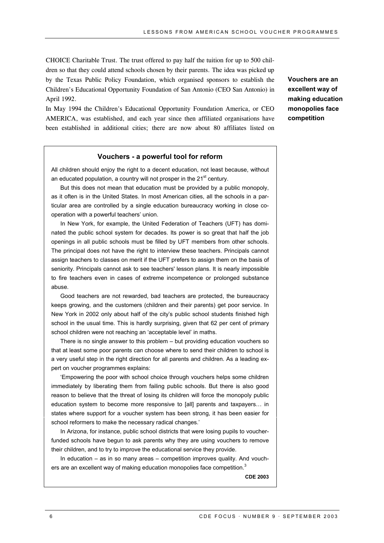CHOICE Charitable Trust. The trust offered to pay half the tuition for up to 500 children so that they could attend schools chosen by their parents. The idea was picked up by the Texas Public Policy Foundation, which organised sponsors to establish the Children's Educational Opportunity Foundation of San Antonio (CEO San Antonio) in April 1992.

In May 1994 the Children's Educational Opportunity Foundation America, or CEO AMERICA, was established, and each year since then affiliated organisations have been established in additional cities; there are now about 80 affiliates listed on **Vouchers are an excellent way of making education monopolies face competition**

#### **Vouchers - a powerful tool for reform**

All children should enjoy the right to a decent education, not least because, without an educated population, a country will not prosper in the  $21<sup>st</sup>$  century.

But this does not mean that education must be provided by a public monopoly, as it often is in the United States. In most American cities, all the schools in a particular area are controlled by a single education bureaucracy working in close cooperation with a powerful teachers' union.

In New York, for example, the United Federation of Teachers (UFT) has dominated the public school system for decades. Its power is so great that half the job openings in all public schools must be filled by UFT members from other schools. The principal does not have the right to interview these teachers. Principals cannot assign teachers to classes on merit if the UFT prefers to assign them on the basis of seniority. Principals cannot ask to see teachers' lesson plans. It is nearly impossible to fire teachers even in cases of extreme incompetence or prolonged substance abuse.

Good teachers are not rewarded, bad teachers are protected, the bureaucracy keeps growing, and the customers (children and their parents) get poor service. In New York in 2002 only about half of the city's public school students finished high school in the usual time. This is hardly surprising, given that 62 per cent of primary school children were not reaching an 'acceptable level' in maths.

There is no single answer to this problem – but providing education vouchers so that at least some poor parents can choose where to send their children to school is a very useful step in the right direction for all parents and children. As a leading expert on voucher programmes explains:

'Empowering the poor with school choice through vouchers helps some children immediately by liberating them from failing public schools. But there is also good reason to believe that the threat of losing its children will force the monopoly public education system to become more responsive to [all] parents and taxpayers… in states where support for a voucher system has been strong, it has been easier for school reformers to make the necessary radical changes.'

In Arizona, for instance, public school districts that were losing pupils to voucherfunded schools have begun to ask parents why they are using vouchers to remove their children, and to try to improve the educational service they provide.

In education – as in so many areas – competition improves quality. And vouch-ers are an excellent way of making education monopolies face competition.<sup>[3](#page-11-2)</sup>

**CDE 2003**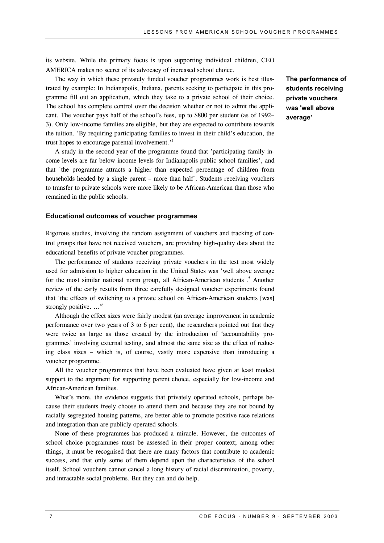its website. While the primary focus is upon supporting individual children, CEO AMERICA makes no secret of its advocacy of increased school choice.

The way in which these privately funded voucher programmes work is best illustrated by example: In Indianapolis, Indiana, parents seeking to participate in this programme fill out an application, which they take to a private school of their choice. The school has complete control over the decision whether or not to admit the applicant. The voucher pays half of the school's fees, up to \$800 per student (as of 1992– 3). Only low-income families are eligible, but they are expected to contribute towards the tuition. 'By requiring participating families to invest in their child's education, the trust hopes to encourage parental involvement.'[4](#page-11-3)

A study in the second year of the programme found that 'participating family income levels are far below income levels for Indianapolis public school families', and that 'the programme attracts a higher than expected percentage of children from households headed by a single parent – more than half'. Students receiving vouchers to transfer to private schools were more likely to be African-American than those who remained in the public schools.

#### **Educational outcomes of voucher programmes**

Rigorous studies, involving the random assignment of vouchers and tracking of control groups that have not received vouchers, are providing high-quality data about the educational benefits of private voucher programmes.

The performance of students receiving private vouchers in the test most widely used for admission to higher education in the United States was 'well above average for the most similar national norm group, all African-American students'.<sup>5</sup> Another review of the early results from three carefully designed voucher experiments found that 'the effects of switching to a private school on African-American students [was] strongly positive. …'[6](#page-11-5)

Although the effect sizes were fairly modest (an average improvement in academic performance over two years of 3 to 6 per cent), the researchers pointed out that they were twice as large as those created by the introduction of 'accountability programmes' involving external testing, and almost the same size as the effect of reducing class sizes – which is, of course, vastly more expensive than introducing a voucher programme.

All the voucher programmes that have been evaluated have given at least modest support to the argument for supporting parent choice, especially for low-income and African-American families.

What's more, the evidence suggests that privately operated schools, perhaps because their students freely choose to attend them and because they are not bound by racially segregated housing patterns, are better able to promote positive race relations and integration than are publicly operated schools.

None of these programmes has produced a miracle. However, the outcomes of school choice programmes must be assessed in their proper context; among other things, it must be recognised that there are many factors that contribute to academic success, and that only some of them depend upon the characteristics of the school itself. School vouchers cannot cancel a long history of racial discrimination, poverty, and intractable social problems. But they can and do help.

**The performance of students receiving private vouchers was 'well above average'**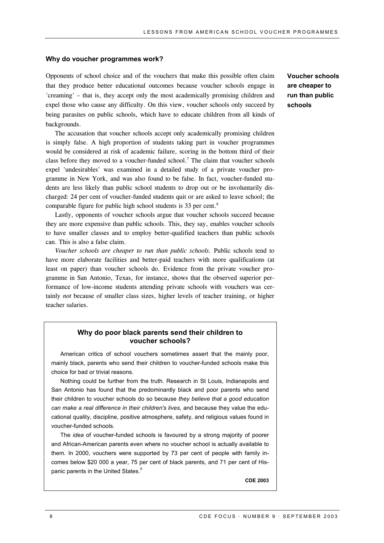#### **Why do voucher programmes work?**

Opponents of school choice and of the vouchers that make this possible often claim that they produce better educational outcomes because voucher schools engage in 'creaming' – that is, they accept only the most academically promising children and expel those who cause any difficulty. On this view, voucher schools only succeed by being parasites on public schools, which have to educate children from all kinds of backgrounds.

The accusation that voucher schools accept only academically promising children is simply false. A high proportion of students taking part in voucher programmes would be considered at risk of academic failure, scoring in the bottom third of their class before they moved to a voucher-funded school.<sup>7</sup> The claim that voucher schools expel 'undesirables' was examined in a detailed study of a private voucher programme in New York, and was also found to be false. In fact, voucher-funded students are less likely than public school students to drop out or be involuntarily discharged: 24 per cent of voucher-funded students quit or are asked to leave school; the comparable figure for public high school students is 33 per cent[.8](#page-11-7)

Lastly, opponents of voucher schools argue that voucher schools succeed because they are more expensive than public schools. This, they say, enables voucher schools to have smaller classes and to employ better-qualified teachers than public schools can. This is also a false claim.

*Voucher schools are cheaper to run than public schools.* Public schools tend to have more elaborate facilities and better-paid teachers with more qualifications (at least on paper) than voucher schools do. Evidence from the private voucher programme in San Antonio, Texas, for instance, shows that the observed superior performance of low-income students attending private schools with vouchers was certainly *not* because of smaller class sizes, higher levels of teacher training, or higher teacher salaries.

# **Why do poor black parents send their children to voucher schools?**

American critics of school vouchers sometimes assert that the mainly poor, mainly black, parents who send their children to voucher-funded schools make this choice for bad or trivial reasons.

Nothing could be further from the truth. Research in St Louis, Indianapolis and San Antonio has found that the predominantly black and poor parents who send their children to voucher schools do so because *they believe that a good education can make a real difference in their children's lives,* and because they value the educational quality, discipline, positive atmosphere, safety, and religious values found in voucher-funded schools.

The *idea* of voucher-funded schools is favoured by a strong majority of poorer and African-American parents even where no voucher school is actually available to them. In 2000, vouchers were supported by 73 per cent of people with family incomes below \$20 000 a year, 75 per cent of black parents, and 71 per cent of His-panic parents in the United States.<sup>[9](#page-11-8)</sup>

**CDE 2003**

**Voucher schools are cheaper to run than public schools**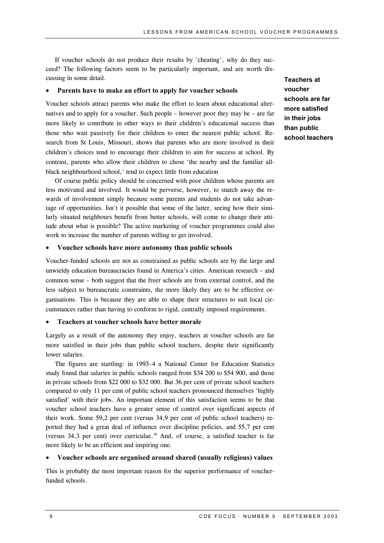If voucher schools do not produce their results by 'cheating', why do they succeed? The following factors seem to be particularly important, and are worth discussing in some detail.

#### • **Parents have to make an effort to apply for voucher schools**

Voucher schools attract parents who make the effort to learn about educational alternatives and to apply for a voucher. Such people – however poor they may be – are far more likely to contribute in other ways to their children's educational success than those who wait passively for their children to enter the nearest public school. Research from St Louis, Missouri, shows that parents who are more involved in their children's choices tend to encourage their children to aim for success at school. By contrast, parents who allow their children to chose 'the nearby and the familiar allblack neighbourhood school,' tend to expect little from education

Of course public policy should be concerned with poor children whose parents are less motivated and involved. It would be perverse, however, to snatch away the rewards of involvement simply because some parents and students do not take advantage of opportunities. Isn't it possible that some of the latter, seeing how their similarly situated neighbours benefit from better schools, will come to change their attitude about what is possible? The active marketing of voucher programmes could also work to increase the number of parents willing to get involved.

#### • **Voucher schools have more autonomy than public schools**

Voucher-funded schools are not as constrained as public schools are by the large and unwieldy education bureaucracies found in America's cities. American research – and common sense – both suggest that the freer schools are from external control, and the less subject to bureaucratic constraints, the more likely they are to be effective organisations. This is because they are able to shape their structures to suit local circumstances rather than having to conform to rigid, centrally imposed requirements.

#### • **Teachers at voucher schools have better morale**

Largely as a result of the autonomy they enjoy, teachers at voucher schools are far more satisfied in their jobs than public school teachers, despite their significantly lower salaries.

The figures are startling: in 1993–4 a National Center for Education Statistics study found that salaries in public schools ranged from \$34 200 to \$54 900, and those in private schools from \$22 000 to \$32 000. But 36 per cent of private school teachers compared to only 11 per cent of public school teachers pronounced themselves 'highly satisfied' with their jobs. An important element of this satisfaction seems to be that voucher school teachers have a greater sense of control over significant aspects of their work. Some 59,2 per cent (versus 34,9 per cent of public school teachers) reported they had a great deal of influence over discipline policies, and 55,7 per cent (versus 34.3 per cent) over curriculae.<sup>10</sup> And, of course, a satisfied teacher is far more likely to be an efficient and inspiring one.

#### • **Voucher schools are organised around shared (usually religious) values**

This is probably the most important reason for the superior performance of voucherfunded schools.

**Teachers at voucher schools are far more satisfied in their jobs than public school teachers**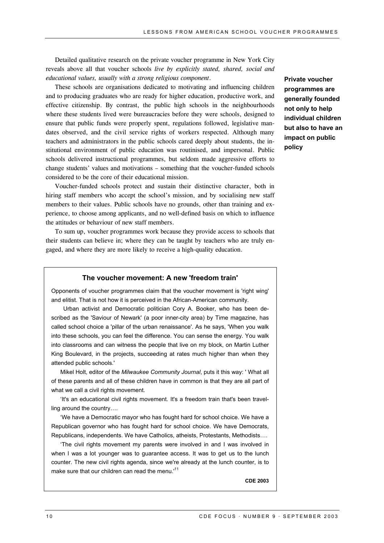Detailed qualitative research on the private voucher programme in New York City reveals above all that voucher schools *live by explicitly stated, shared, social and educational values, usually with a strong religious component*.

These schools are organisations dedicated to motivating and influencing children and to producing graduates who are ready for higher education, productive work, and effective citizenship. By contrast, the public high schools in the neighbourhoods where these students lived were bureaucracies before they were schools, designed to ensure that public funds were properly spent, regulations followed, legislative mandates observed, and the civil service rights of workers respected. Although many teachers and administrators in the public schools cared deeply about students, the institutional environment of public education was routinised, and impersonal. Public schools delivered instructional programmes, but seldom made aggressive efforts to change students' values and motivations – something that the voucher-funded schools considered to be the core of their educational mission.

Voucher-funded schools protect and sustain their distinctive character, both in hiring staff members who accept the school's mission, and by socialising new staff members to their values. Public schools have no grounds, other than training and experience, to choose among applicants, and no well-defined basis on which to influence the attitudes or behaviour of new staff members.

To sum up, voucher programmes work because they provide access to schools that their students can believe in; where they can be taught by teachers who are truly engaged, and where they are more likely to receive a high-quality education.

#### **The voucher movement: A new 'freedom train'**

Opponents of voucher programmes claim that the voucher movement is 'right wing' and elitist. That is not how it is perceived in the African-American community.

 Urban activist and Democratic politician Cory A. Booker, who has been described as the 'Saviour of Newark' (a poor inner-city area) by Time magazine, has called school choice a 'pillar of the urban renaissance'. As he says, 'When you walk into these schools, you can feel the difference. You can sense the energy. You walk into classrooms and can witness the people that live on my block, on Martin Luther King Boulevard, in the projects, succeeding at rates much higher than when they attended public schools.'

Mikel Holt, editor of the *Milwaukee Community Journal*, puts it this way: ' What all of these parents and all of these children have in common is that they are all part of what we call a civil rights movement.

'It's an educational civil rights movement. It's a freedom train that's been travelling around the country….

'We have a Democratic mayor who has fought hard for school choice. We have a Republican governor who has fought hard for school choice. We have Democrats, Republicans, independents. We have Catholics, atheists, Protestants, Methodists….

'The civil rights movement my parents were involved in and I was involved in when I was a lot younger was to guarantee access. It was to get us to the lunch counter. The new civil rights agenda, since we're already at the lunch counter, is to make sure that our children can read the menu.<sup>[11](#page-11-10)</sup>

**CDE 2003**

**Private voucher programmes are generally founded not only to help individual children but also to have an impact on public policy**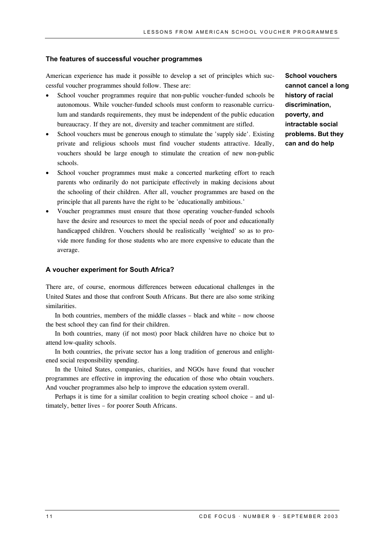#### **The features of successful voucher programmes**

American experience has made it possible to develop a set of principles which successful voucher programmes should follow. These are:

- School voucher programmes require that non-public voucher-funded schools be autonomous. While voucher-funded schools must conform to reasonable curriculum and standards requirements, they must be independent of the public education bureaucracy. If they are not, diversity and teacher commitment are stifled.
- School vouchers must be generous enough to stimulate the 'supply side'. Existing private and religious schools must find voucher students attractive. Ideally, vouchers should be large enough to stimulate the creation of new non-public schools.
- School voucher programmes must make a concerted marketing effort to reach parents who ordinarily do not participate effectively in making decisions about the schooling of their children. After all, voucher programmes are based on the principle that all parents have the right to be 'educationally ambitious.'
- Voucher programmes must ensure that those operating voucher-funded schools have the desire and resources to meet the special needs of poor and educationally handicapped children. Vouchers should be realistically 'weighted' so as to provide more funding for those students who are more expensive to educate than the average.

#### **A voucher experiment for South Africa?**

There are, of course, enormous differences between educational challenges in the United States and those that confront South Africans. But there are also some striking similarities.

In both countries, members of the middle classes – black and white – now choose the best school they can find for their children.

In both countries, many (if not most) poor black children have no choice but to attend low-quality schools.

In both countries, the private sector has a long tradition of generous and enlightened social responsibility spending.

In the United States, companies, charities, and NGOs have found that voucher programmes are effective in improving the education of those who obtain vouchers. And voucher programmes also help to improve the education system overall.

Perhaps it is time for a similar coalition to begin creating school choice – and ultimately, better lives – for poorer South Africans.

**School vouchers cannot cancel a long history of racial discrimination, poverty, and intractable social problems. But they can and do help**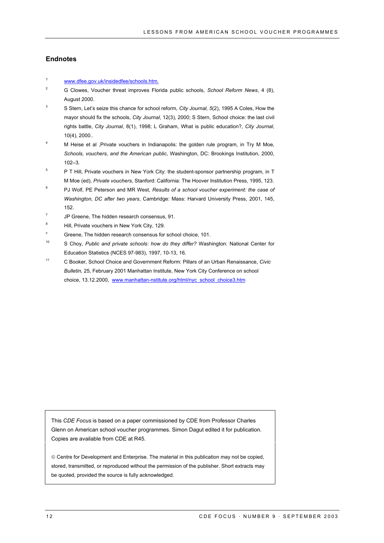#### **Endnotes**

- <span id="page-11-0"></span><sup>1</sup> www.dfee.gov.uk/insidedfee/schools.htm.
- <span id="page-11-1"></span><sup>2</sup> G Clowes, Voucher threat improves Florida public schools, *School Reform News*, 4 (8), August 2000.
- <span id="page-11-2"></span>3 S Stern, Let's seize this chance for school reform, *City Journal, 5*(2), 1995 A Coles, How the mayor should fix the schools, *City Journal*, 12(3), 2000; S Stern, School choice: the last civil rights battle, *City Journal*, 8(1), 1998; L Graham, What is public education?, *City Journal*, 10(4), 2000..
- <span id="page-11-3"></span><sup>4</sup> M Heise et al ,Private vouchers in Indianapolis: the golden rule program, in Try M Moe, *Schools, vouchers, and the American public*, Washington, DC: Brookings Institution, 2000, 102–3.
- <span id="page-11-4"></span><sup>5</sup> P T Hill, Private vouchers in New York City: the student-sponsor partnership program, in T M Moe (ed), *Private vouchers*, Stanford: California: The Hoover Institution Press, 1995, 123.
- <span id="page-11-5"></span><sup>6</sup> PJ Wolf, PE Peterson and MR West, *Results of a school voucher experiment: the case of Washington, DC after two years*, Cambridge: Mass: Harvard University Press, 2001, 145, 152.
- <span id="page-11-6"></span> $7$  JP Greene, The hidden research consensus, 91.
- <span id="page-11-7"></span><sup>8</sup> Hill, Private vouchers in New York City, 129.
- <span id="page-11-8"></span>Greene, The hidden research consensus for school choice, 101.
- <span id="page-11-9"></span><sup>10</sup> S Choy, *Public and private schools: how do they differ?* Washington: National Center for Education Statistics (NCES 97-983), 1997, 10-13, 16.
- <span id="page-11-10"></span>11 C Booker, School Choice and Government Reform: Pillars of an Urban Renaissance, *Civic Bulletin,* 25, February 2001 Manhattan Institute, New York City Conference on school choice, 13.12.2000, www.manhattan-nstitute.org/html/nyc\_school\_choice3.htm

This *CDE Focus* is based on a paper commissioned by CDE from Professor Charles Glenn on American school voucher programmes. Simon Dagut edited it for publication. Copies are available from CDE at R45.

 Centre for Development and Enterprise. The material in this publication may not be copied, stored, transmitted, or reproduced without the permission of the publisher. Short extracts may be quoted, provided the source is fully acknowledged.